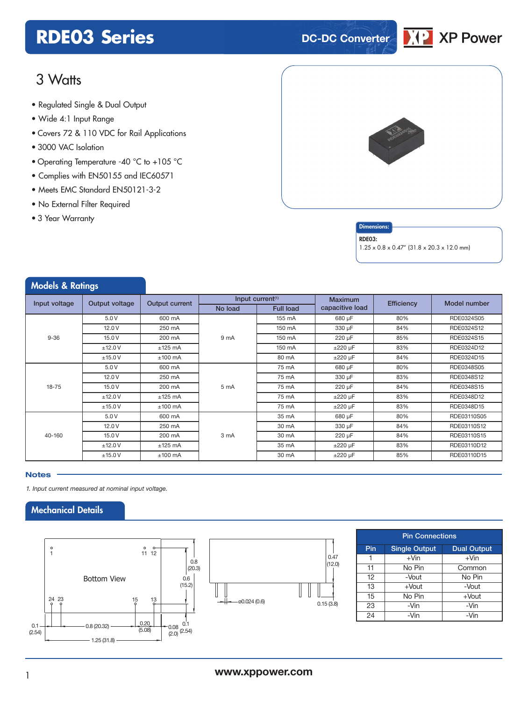### **RDE03 Series DC-DC** Converter



### 3 Watts

- **xxx Series** Regulated Single & Dual Output
- Wide 4:1 Input Range
- Covers 72 & 110 VDC for Rail Applications
- 3000 VAC Isolation
- Operating Temperature -40 °C to +105 °C
- Complies with EN50155 and IEC60571
- Meets EMC Standard EN50121-3-2
- No External Filter Required
- 3 Year Warranty





RDE03:

1.25 x 0.8 x 0.47" (31.8 x 20.3 x 12.0 mm)

| <b>Models &amp; Ratings</b> |                |                |         |                              |                 |                   |              |
|-----------------------------|----------------|----------------|---------|------------------------------|-----------------|-------------------|--------------|
| Input voltage               | Output voltage | Output current |         | Input current <sup>(1)</sup> | <b>Maximum</b>  | <b>Efficiency</b> | Model number |
|                             |                |                | No load | <b>Full load</b>             | capacitive load |                   |              |
|                             | 5.0V           | 600 mA         |         | 155 mA                       | 680 µF          | 80%               | RDE0324S05   |
|                             | 12.0V          | 250 mA         |         | 150 mA                       | 330 µF          | 84%               | RDE0324S12   |
| $9 - 36$                    | 15.0V          | 200 mA         | 9 mA    | 150 mA                       | 220 µF          | 85%               | RDE0324S15   |
|                             | ±12.0V         | $±125$ mA      |         | 150 mA                       | $\pm 220 \mu F$ | 83%               | RDE0324D12   |
|                             | ±15.0V         | $±100$ mA      |         | 80 mA                        | $±220 \mu F$    | 84%               | RDE0324D15   |
| $18 - 75$                   | 5.0V           | 600 mA         | 5 mA    | 75 mA                        | 680 µF          | 80%               | RDE0348S05   |
|                             | 12.0V          | 250 mA         |         | 75 mA                        | 330 µF          | 83%               | RDE0348S12   |
|                             | 15.0V          | 200 mA         |         | 75 mA                        | 220 µF          | 84%               | RDE0348S15   |
|                             | ±12.0V         | $±125$ mA      |         | 75 mA                        | $±220 \mu F$    | 83%               | RDE0348D12   |
|                             | ±15.0V         | $±100$ mA      |         | 75 mA                        | $\pm 220 \mu F$ | 83%               | RDE0348D15   |
| 40-160                      | 5.0V           | 600 mA         |         | 35 mA                        | 680 µF          | 80%               | RDE03110S05  |
|                             | 12.0V          | 250 mA         | 3 mA    | 30 mA                        | 330 µF          | 84%               | RDE03110S12  |
|                             | 15.0V          | 200 mA         |         | 30 mA                        | 220 µF          | 84%               | RDE03110S15  |
|                             | ±12.0V         | $±125$ mA      |         | 35 mA                        | $\pm 220 \mu F$ | 83%               | RDE03110D12  |
|                             | ±15.0V         | $±100$ mA      |         | 30 mA                        | $\pm 220 \mu F$ | 85%               | RDE03110D15  |

#### **Notes**

*1. Input current measured at nominal input voltage.*

### Mechanical Details





| <b>Pin Connections</b> |                      |                    |  |  |  |  |
|------------------------|----------------------|--------------------|--|--|--|--|
| Pin                    | <b>Single Output</b> | <b>Dual Output</b> |  |  |  |  |
|                        | $+V$ in              | $+V$ in            |  |  |  |  |
| 11                     | No Pin               | Common             |  |  |  |  |
| 12                     | -Vout                | No Pin             |  |  |  |  |
| 13                     | $+$ Vout             | -Vout              |  |  |  |  |
| 15                     | No Pin               | $+$ Vout           |  |  |  |  |
| 23                     | -Vin                 | -Vin               |  |  |  |  |
| 24                     | -Vin                 | -Vin               |  |  |  |  |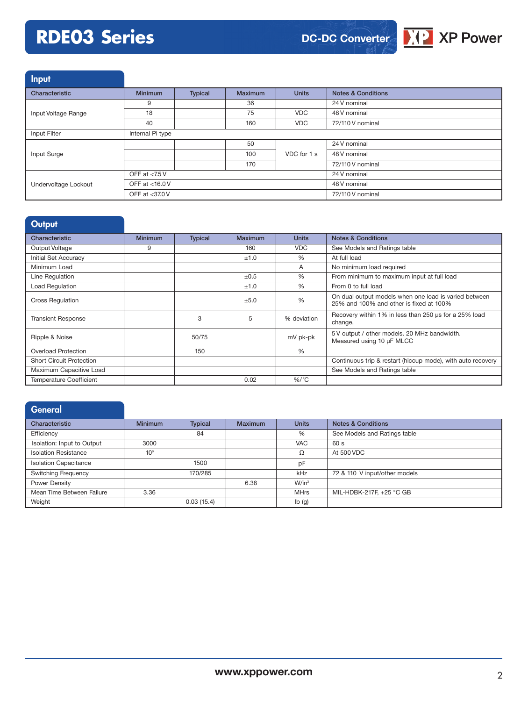# **RDE03 Series**



Input

| Characteristic       | <b>Minimum</b>   | Typical | <b>Maximum</b> | <b>Units</b>     | <b>Notes &amp; Conditions</b> |
|----------------------|------------------|---------|----------------|------------------|-------------------------------|
|                      | 9                |         | 36             |                  | 24 V nominal                  |
| Input Voltage Range  | 18               |         | 75             | <b>VDC</b>       | 48 V nominal                  |
|                      | 40               |         | 160            | <b>VDC</b>       | 72/110 V nominal              |
| Input Filter         | Internal Pi type |         |                |                  |                               |
|                      |                  |         | 50             |                  | 24 V nominal                  |
| Input Surge          |                  |         | 100            | VDC for 1 s      | 48 V nominal                  |
|                      |                  |         | 170            |                  | 72/110 V nominal              |
|                      | OFF at $<$ 7.5 V |         |                | 24 V nominal     |                               |
| Undervoltage Lockout | OFF at <16.0 V   |         |                | 48 V nominal     |                               |
|                      | OFF at <37.0 V   |         |                | 72/110 V nominal |                               |

| Output                          |                |                |           |               |                                                                                                  |
|---------------------------------|----------------|----------------|-----------|---------------|--------------------------------------------------------------------------------------------------|
| Characteristic                  | <b>Minimum</b> | <b>Typical</b> | Maximum   | <b>Units</b>  | <b>Notes &amp; Conditions</b>                                                                    |
| Output Voltage                  | 9              |                | 160       | <b>VDC</b>    | See Models and Ratings table                                                                     |
| <b>Initial Set Accuracy</b>     |                |                | ±1.0      | $\frac{0}{0}$ | At full load                                                                                     |
| Minimum Load                    |                |                |           | A             | No minimum load required                                                                         |
| Line Regulation                 |                |                | $\pm 0.5$ | $\frac{0}{0}$ | From minimum to maximum input at full load                                                       |
| Load Regulation                 |                |                | ±1.0      | $\frac{0}{0}$ | From 0 to full load                                                                              |
| <b>Cross Regulation</b>         |                |                | ±5.0      | $\frac{0}{0}$ | On dual output models when one load is varied between<br>25% and 100% and other is fixed at 100% |
| <b>Transient Response</b>       |                | 3              | 5         | % deviation   | Recovery within 1% in less than 250 us for a 25% load<br>change.                                 |
| Ripple & Noise                  |                | 50/75          |           | mV pk-pk      | 5V output / other models. 20 MHz bandwidth.<br>Measured using 10 µF MLCC                         |
| <b>Overload Protection</b>      |                | 150            |           | $\frac{0}{0}$ |                                                                                                  |
| <b>Short Circuit Protection</b> |                |                |           |               | Continuous trip & restart (hiccup mode), with auto recovery                                      |
| Maximum Capacitive Load         |                |                |           |               | See Models and Ratings table                                                                     |
| <b>Temperature Coefficient</b>  |                |                | 0.02      | $%$ /°C       |                                                                                                  |

| General                      |                 |                |                |              |                               |
|------------------------------|-----------------|----------------|----------------|--------------|-------------------------------|
| Characteristic               | <b>Minimum</b>  | <b>Typical</b> | <b>Maximum</b> | <b>Units</b> | <b>Notes &amp; Conditions</b> |
| Efficiency                   |                 | 84             |                | %            | See Models and Ratings table  |
| Isolation: Input to Output   | 3000            |                |                | <b>VAC</b>   | 60 s                          |
| <b>Isolation Resistance</b>  | 10 <sup>9</sup> |                |                | Ω            | At 500 VDC                    |
| <b>Isolation Capacitance</b> |                 | 1500           |                | pF           |                               |
| <b>Switching Frequency</b>   |                 | 170/285        |                | kHz          | 72 & 110 V input/other models |
| Power Density                |                 |                | 6.38           | $W/in^3$     |                               |
| Mean Time Between Failure    | 3.36            |                |                | <b>MHrs</b>  | MIL-HDBK-217F, +25 °C GB      |
| Weight                       |                 | 0.03(15.4)     |                | Ib(g)        |                               |